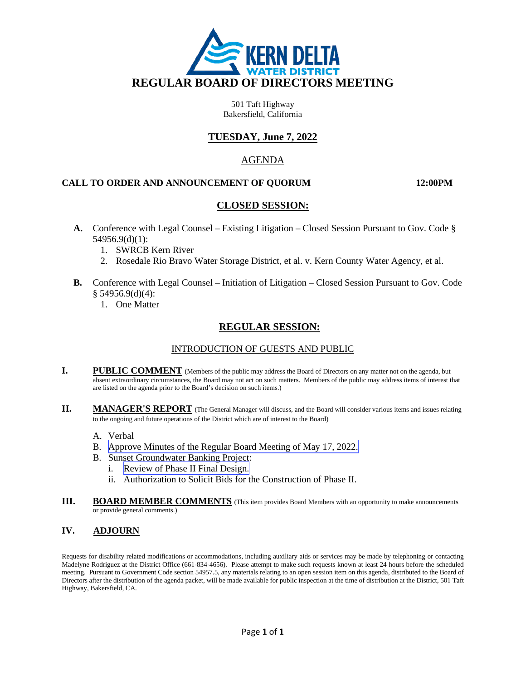

501 Taft Highway Bakersfield, California

## **TUESDAY, June 7, 2022**

### AGENDA

#### **CALL TO ORDER AND ANNOUNCEMENT OF QUORUM 12:00PM**

### **CLOSED SESSION:**

- **A.** Conference with Legal Counsel Existing Litigation Closed Session Pursuant to Gov. Code § 54956.9(d)(1):
	- 1. SWRCB Kern River
	- 2. Rosedale Rio Bravo Water Storage District, et al. v. Kern County Water Agency, et al.
- **B.** Conference with Legal Counsel Initiation of Litigation Closed Session Pursuant to Gov. Code § 54956.9(d)(4):
	- 1. One Matter

## **REGULAR SESSION:**

### INTRODUCTION OF GUESTS AND PUBLIC

- **I. PUBLIC COMMENT** (Members of the public may address the Board of Directors on any matter not on the agenda, but absent extraordinary circumstances, the Board may not act on such matters. Members of the public may address items of interest that are listed on the agenda prior to the Board's decision on such items.)
- **II. MANAGER'S REPORT** (The General Manager will discuss, and the Board will consider various items and issues relating to the ongoing and future operations of the District which are of interest to the Board)
	- A. Verbal
	- B. [Approve Minutes of the Regular Board Meeting of May 17, 2022.](#page-2-0)
	- B. Sunset Groundwater Banking Project:
		- i. [Review of Phase II Final Design.](#page-6-0)
		- ii. Authorization to Solicit Bids for the Construction of Phase II.
- **III.** BOARD MEMBER COMMENTS (This item provides Board Members with an opportunity to make announcements or provide general comments.)

#### **IV. ADJOURN**

Requests for disability related modifications or accommodations, including auxiliary aids or services may be made by telephoning or contacting Madelyne Rodriguez at the District Office (661-834-4656). Please attempt to make such requests known at least 24 hours before the scheduled meeting. Pursuant to Government Code section 54957.5, any materials relating to an open session item on this agenda, distributed to the Board of Directors after the distribution of the agenda packet, will be made available for public inspection at the time of distribution at the District, 501 Taft Highway, Bakersfield, CA.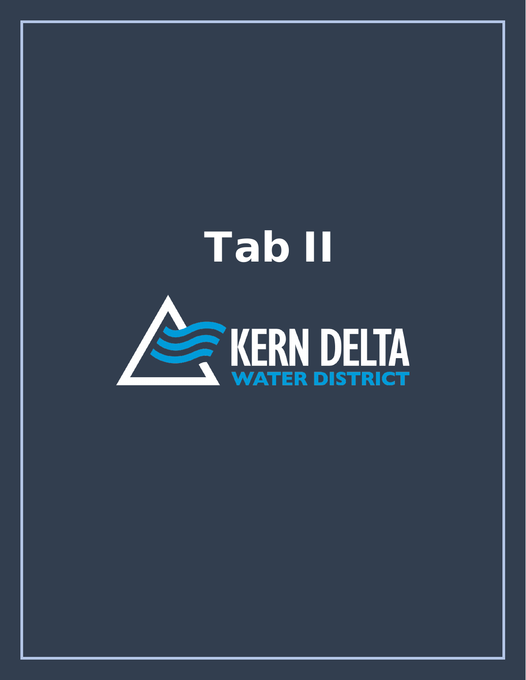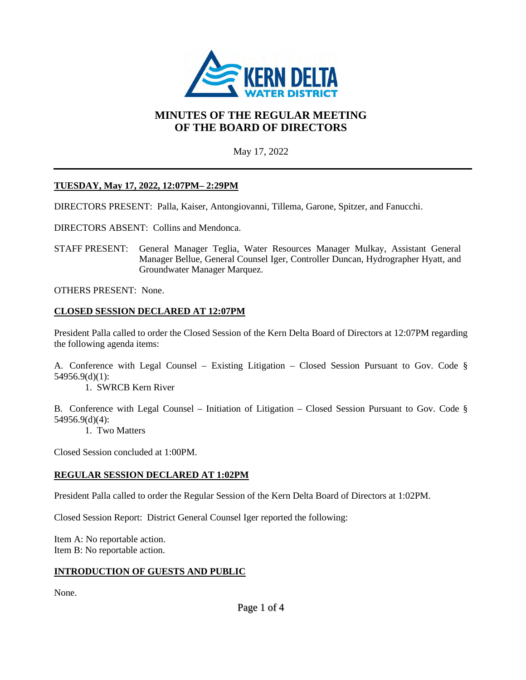<span id="page-2-0"></span>

# **MINUTES OF THE REGULAR MEETING OF THE BOARD OF DIRECTORS**

May 17, 2022

## **TUESDAY, May 17, 2022, 12:07PM– 2:29PM**

DIRECTORS PRESENT: Palla, Kaiser, Antongiovanni, Tillema, Garone, Spitzer, and Fanucchi.

DIRECTORS ABSENT: Collins and Mendonca.

STAFF PRESENT: General Manager Teglia, Water Resources Manager Mulkay, Assistant General Manager Bellue, General Counsel Iger, Controller Duncan, Hydrographer Hyatt, and Groundwater Manager Marquez.

OTHERS PRESENT: None.

### **CLOSED SESSION DECLARED AT 12:07PM**

President Palla called to order the Closed Session of the Kern Delta Board of Directors at 12:07PM regarding the following agenda items:

A. Conference with Legal Counsel – Existing Litigation – Closed Session Pursuant to Gov. Code § 54956.9(d)(1):

1. SWRCB Kern River

B. Conference with Legal Counsel – Initiation of Litigation – Closed Session Pursuant to Gov. Code § 54956.9(d)(4):

1. Two Matters

Closed Session concluded at 1:00PM.

### **REGULAR SESSION DECLARED AT 1:02PM**

President Palla called to order the Regular Session of the Kern Delta Board of Directors at 1:02PM.

Closed Session Report: District General Counsel Iger reported the following:

Item A: No reportable action. Item B: No reportable action.

#### **INTRODUCTION OF GUESTS AND PUBLIC**

None.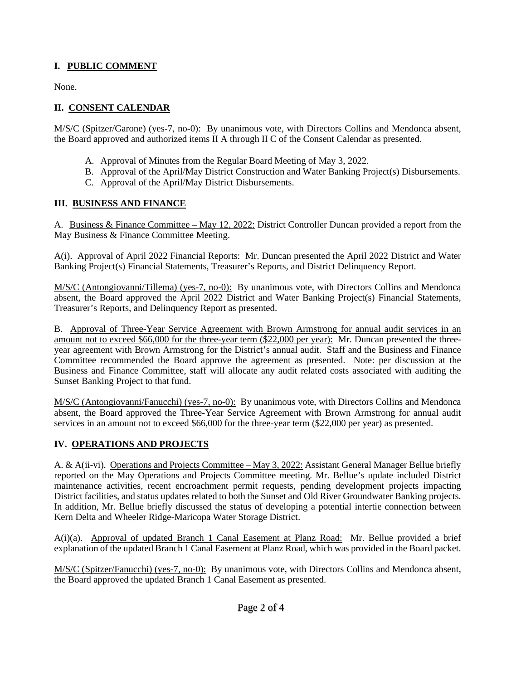# **I. PUBLIC COMMENT**

None.

# **II. CONSENT CALENDAR**

M/S/C (Spitzer/Garone) (yes-7, no-0): By unanimous vote, with Directors Collins and Mendonca absent, the Board approved and authorized items II A through II C of the Consent Calendar as presented.

- A. Approval of Minutes from the Regular Board Meeting of May 3, 2022.
- B. Approval of the April/May District Construction and Water Banking Project(s) Disbursements.
- C. Approval of the April/May District Disbursements.

## **III. BUSINESS AND FINANCE**

A. Business & Finance Committee – May 12, 2022: District Controller Duncan provided a report from the May Business & Finance Committee Meeting.

A(i). Approval of April 2022 Financial Reports: Mr. Duncan presented the April 2022 District and Water Banking Project(s) Financial Statements, Treasurer's Reports, and District Delinquency Report.

M/S/C (Antongiovanni/Tillema) (yes-7, no-0): By unanimous vote, with Directors Collins and Mendonca absent, the Board approved the April 2022 District and Water Banking Project(s) Financial Statements, Treasurer's Reports, and Delinquency Report as presented.

B. Approval of Three-Year Service Agreement with Brown Armstrong for annual audit services in an amount not to exceed \$66,000 for the three-year term (\$22,000 per year): Mr. Duncan presented the threeyear agreement with Brown Armstrong for the District's annual audit. Staff and the Business and Finance Committee recommended the Board approve the agreement as presented. Note: per discussion at the Business and Finance Committee, staff will allocate any audit related costs associated with auditing the Sunset Banking Project to that fund.

M/S/C (Antongiovanni/Fanucchi) (yes-7, no-0): By unanimous vote, with Directors Collins and Mendonca absent, the Board approved the Three-Year Service Agreement with Brown Armstrong for annual audit services in an amount not to exceed \$66,000 for the three-year term (\$22,000 per year) as presented.

## **IV. OPERATIONS AND PROJECTS**

A. & A(ii-vi). Operations and Projects Committee – May 3, 2022: Assistant General Manager Bellue briefly reported on the May Operations and Projects Committee meeting. Mr. Bellue's update included District maintenance activities, recent encroachment permit requests, pending development projects impacting District facilities, and status updates related to both the Sunset and Old River Groundwater Banking projects. In addition, Mr. Bellue briefly discussed the status of developing a potential intertie connection between Kern Delta and Wheeler Ridge-Maricopa Water Storage District.

A(i)(a). Approval of updated Branch 1 Canal Easement at Planz Road: Mr. Bellue provided a brief explanation of the updated Branch 1 Canal Easement at Planz Road, which was provided in the Board packet.

M/S/C (Spitzer/Fanucchi) (yes-7, no-0): By unanimous vote, with Directors Collins and Mendonca absent, the Board approved the updated Branch 1 Canal Easement as presented.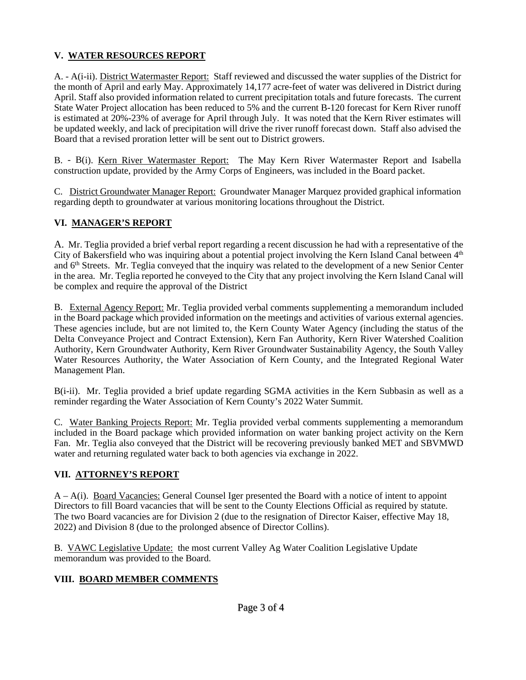# **V. WATER RESOURCES REPORT**

A. - A(i-ii). District Watermaster Report: Staff reviewed and discussed the water supplies of the District for the month of April and early May. Approximately 14,177 acre-feet of water was delivered in District during April. Staff also provided information related to current precipitation totals and future forecasts. The current State Water Project allocation has been reduced to 5% and the current B-120 forecast for Kern River runoff is estimated at 20%-23% of average for April through July. It was noted that the Kern River estimates will be updated weekly, and lack of precipitation will drive the river runoff forecast down. Staff also advised the Board that a revised proration letter will be sent out to District growers.

B. - B(i). Kern River Watermaster Report: The May Kern River Watermaster Report and Isabella construction update, provided by the Army Corps of Engineers, was included in the Board packet.

C. District Groundwater Manager Report: Groundwater Manager Marquez provided graphical information regarding depth to groundwater at various monitoring locations throughout the District.

# **VI. MANAGER'S REPORT**

A. Mr. Teglia provided a brief verbal report regarding a recent discussion he had with a representative of the City of Bakersfield who was inquiring about a potential project involving the Kern Island Canal between 4<sup>th</sup> and 6<sup>th</sup> Streets. Mr. Teglia conveyed that the inquiry was related to the development of a new Senior Center in the area. Mr. Teglia reported he conveyed to the City that any project involving the Kern Island Canal will be complex and require the approval of the District

B. External Agency Report: Mr. Teglia provided verbal comments supplementing a memorandum included in the Board package which provided information on the meetings and activities of various external agencies. These agencies include, but are not limited to, the Kern County Water Agency (including the status of the Delta Conveyance Project and Contract Extension), Kern Fan Authority, Kern River Watershed Coalition Authority, Kern Groundwater Authority, Kern River Groundwater Sustainability Agency, the South Valley Water Resources Authority, the Water Association of Kern County, and the Integrated Regional Water Management Plan.

B(i-ii). Mr. Teglia provided a brief update regarding SGMA activities in the Kern Subbasin as well as a reminder regarding the Water Association of Kern County's 2022 Water Summit.

C. Water Banking Projects Report: Mr. Teglia provided verbal comments supplementing a memorandum included in the Board package which provided information on water banking project activity on the Kern Fan. Mr. Teglia also conveyed that the District will be recovering previously banked MET and SBVMWD water and returning regulated water back to both agencies via exchange in 2022.

# **VII. ATTORNEY'S REPORT**

A – A(i). Board Vacancies: General Counsel Iger presented the Board with a notice of intent to appoint Directors to fill Board vacancies that will be sent to the County Elections Official as required by statute. The two Board vacancies are for Division 2 (due to the resignation of Director Kaiser, effective May 18, 2022) and Division 8 (due to the prolonged absence of Director Collins).

B. VAWC Legislative Update: the most current Valley Ag Water Coalition Legislative Update memorandum was provided to the Board.

## **VIII. BOARD MEMBER COMMENTS**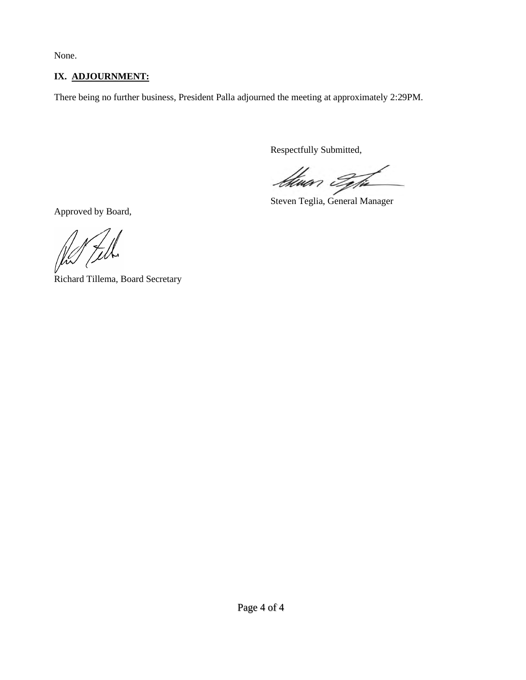None.

# **IX. ADJOURNMENT:**

There being no further business, President Palla adjourned the meeting at approximately 2:29PM.

Respectfully Submitted,

*Stwar Type* 

Steven Teglia, General Manager

Approved by Board,

Richard Tillema, Board Secretary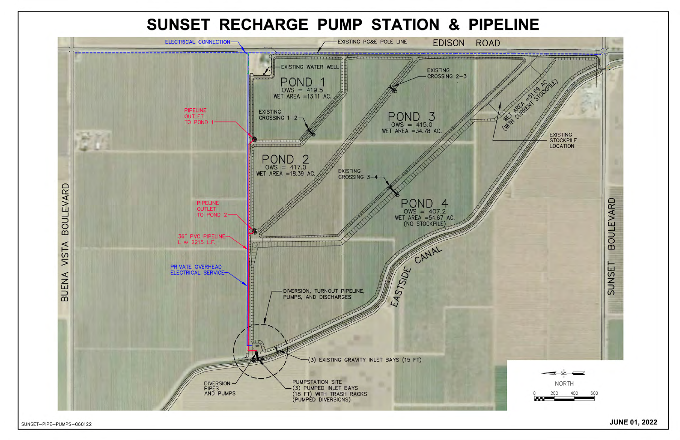SUNSET-PIPE-PUMPS-060122

<span id="page-6-0"></span>